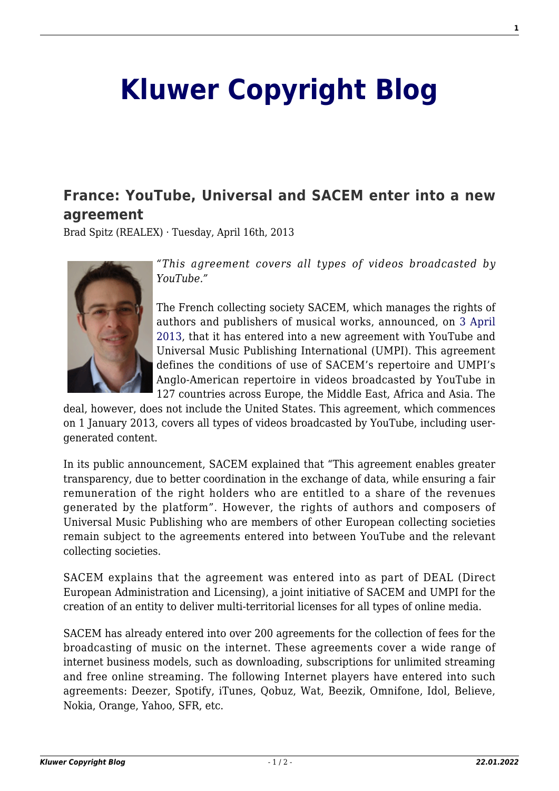## **[Kluwer Copyright Blog](http://copyrightblog.kluweriplaw.com/)**

## **[France: YouTube, Universal and SACEM enter into a new](http://copyrightblog.kluweriplaw.com/2013/04/16/france-youtube-universal-and-sacem-enter-into-a-new-agreement/) [agreement](http://copyrightblog.kluweriplaw.com/2013/04/16/france-youtube-universal-and-sacem-enter-into-a-new-agreement/)**

Brad Spitz (REALEX) · Tuesday, April 16th, 2013



*"This agreement covers all types of videos broadcasted by YouTube."*

The French collecting society SACEM, which manages the rights of authors and publishers of musical works, announced, on [3 April](http://www.sacem.fr/cms/home/la-sacem/derniers-communiques-2013/sacem-youtube-nouvel-accord-avril2013) [2013,](http://www.sacem.fr/cms/home/la-sacem/derniers-communiques-2013/sacem-youtube-nouvel-accord-avril2013) that it has entered into a new agreement with YouTube and Universal Music Publishing International (UMPI). This agreement defines the conditions of use of SACEM's repertoire and UMPI's Anglo-American repertoire in videos broadcasted by YouTube in 127 countries across Europe, the Middle East, Africa and Asia. The

deal, however, does not include the United States. This agreement, which commences on 1 January 2013, covers all types of videos broadcasted by YouTube, including usergenerated content.

In its public announcement, SACEM explained that "This agreement enables greater transparency, due to better coordination in the exchange of data, while ensuring a fair remuneration of the right holders who are entitled to a share of the revenues generated by the platform". However, the rights of authors and composers of Universal Music Publishing who are members of other European collecting societies remain subject to the agreements entered into between YouTube and the relevant collecting societies.

SACEM explains that the agreement was entered into as part of DEAL (Direct European Administration and Licensing), a joint initiative of SACEM and UMPI for the creation of an entity to deliver multi-territorial licenses for all types of online media.

SACEM has already entered into over 200 agreements for the collection of fees for the broadcasting of music on the internet. These agreements cover a wide range of internet business models, such as downloading, subscriptions for unlimited streaming and free online streaming. The following Internet players have entered into such agreements: Deezer, Spotify, iTunes, Qobuz, Wat, Beezik, Omnifone, Idol, Believe, Nokia, Orange, Yahoo, SFR, etc.